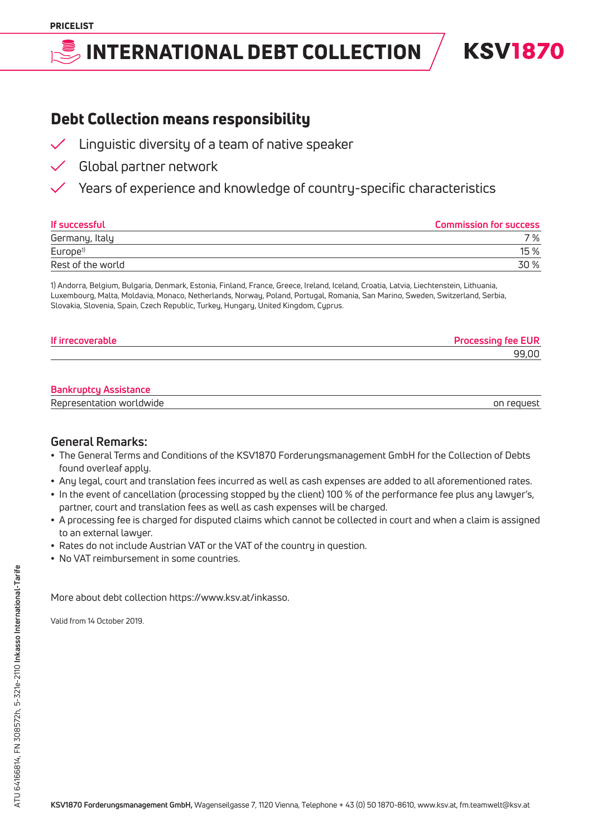## International Debt Collection

**KSV1870** 

## Debt Collection means responsibility

- $\checkmark$  Linguistic diversity of a team of native speaker
	- Global partner network
		- Years of experience and knowledge of country-specific characteristics

| If successful        | <b>Commission for success</b> |
|----------------------|-------------------------------|
| Germany, Italy       | 7 %                           |
| Europe <sup>1)</sup> | 15%                           |
| Rest of the world    | 30 %                          |

1) Andorra, Belgium, Bulgaria, Denmark, Estonia, Finland, France, Greece, Ireland, Iceland, Croatia, Latvia, Liechtenstein, Lithuania, Luxembourg, Malta, Moldavia, Monaco, Netherlands, Norway, Poland, Portugal, Romania, San Marino, Sweden, Switzerland, Serbia, Slovakia, Slovenia, Spain, Czech Republic, Turkey, Hungary, United Kingdom, Cyprus.

| If irrecoverable | fee EUR |
|------------------|---------|
|                  | aa nn   |

### **Bankruptcy Assistance**

|  | Representation worldwide | on reauest |
|--|--------------------------|------------|
|--|--------------------------|------------|

### **General Remarks:**

- The General Terms and Conditions of the KSV1870 Forderungsmanagement GmbH for the Collection of Debts found overleaf apply.
- Any legal, court and translation fees incurred as well as cash expenses are added to all aforementioned rates.
- In the event of cancellation (processing stopped by the client) 100 % of the performance fee plus any lawyer's, partner, court and translation fees as well as cash expenses will be charged.
- A processing fee is charged for disputed claims which cannot be collected in court and when a claim is assigned to an external lawyer.
- Rates do not include Austrian VAT or the VAT of the country in question.
- No VAT reimbursement in some countries.

More about debt collection https://www.ksv.at/inkasso.

Valid from 14 October 2019.